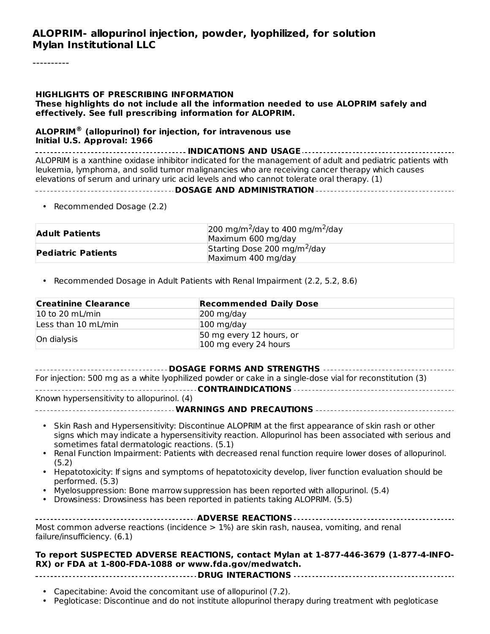#### **ALOPRIM- allopurinol injection, powder, lyophilized, for solution Mylan Institutional LLC**

----------

#### **HIGHLIGHTS OF PRESCRIBING INFORMATION**

**These highlights do not include all the information needed to use ALOPRIM safely and effectively. See full prescribing information for ALOPRIM.**

#### **ALOPRIM (allopurinol) for injection, for intravenous use ® Initial U.S. Approval: 1966**

**INDICATIONS AND USAGE** ALOPRIM is a xanthine oxidase inhibitor indicated for the management of adult and pediatric patients with leukemia, lymphoma, and solid tumor malignancies who are receiving cancer therapy which causes elevations of serum and urinary uric acid levels and who cannot tolerate oral therapy. (1)

#### **DOSAGE AND ADMINISTRATION**

• Recommended Dosage (2.2)

| <b>Adult Patients</b>     | $\sqrt{200 \text{ mg/m}^2}$ /day to 400 mg/m $^2$ /day<br>Maximum 600 mg/day |  |
|---------------------------|------------------------------------------------------------------------------|--|
| <b>Pediatric Patients</b> | Starting Dose 200 mg/m <sup>2</sup> /day<br>Maximum 400 mg/day               |  |

• Recommended Dosage in Adult Patients with Renal Impairment (2.2, 5.2, 8.6)

| <b>Creatinine Clearance</b>          | <b>Recommended Daily Dose</b>                     |  |
|--------------------------------------|---------------------------------------------------|--|
| $ 10 \text{ to } 20 \text{ mL/min} $ | $200$ mg/day                                      |  |
| Less than 10 mL/min                  | $100$ mg/day                                      |  |
| On dialysis                          | 50 mg every 12 hours, or<br>100 mg every 24 hours |  |

#### **DOSAGE FORMS AND STRENGTHS**

For injection: 500 mg as a white lyophilized powder or cake in a single-dose vial for reconstitution (3) **CONTRAINDICATIONS**

Known hypersensitivity to allopurinol. (4)

**WARNINGS AND PRECAUTIONS**

- Skin Rash and Hypersensitivity: Discontinue ALOPRIM at the first appearance of skin rash or other signs which may indicate a hypersensitivity reaction. Allopurinol has been associated with serious and sometimes fatal dermatologic reactions. (5.1)
- Renal Function Impairment: Patients with decreased renal function require lower doses of allopurinol. (5.2)
- Hepatotoxicity: If signs and symptoms of hepatotoxicity develop, liver function evaluation should be performed. (5.3)
- Myelosuppression: Bone marrow suppression has been reported with allopurinol. (5.4)
- Drowsiness: Drowsiness has been reported in patients taking ALOPRIM. (5.5)

| Most common adverse reactions (incidence $> 1\%$ ) are skin rash, nausea, vomiting, and renal |  |  |  |
|-----------------------------------------------------------------------------------------------|--|--|--|
| failure/insufficiency. (6.1)                                                                  |  |  |  |

#### **To report SUSPECTED ADVERSE REACTIONS, contact Mylan at 1-877-446-3679 (1-877-4-INFO-RX) or FDA at 1-800-FDA-1088 or www.fda.gov/medwatch.**

**DRUG INTERACTIONS**

- Capecitabine: Avoid the concomitant use of allopurinol (7.2).
- Pegloticase: Discontinue and do not institute allopurinol therapy during treatment with pegloticase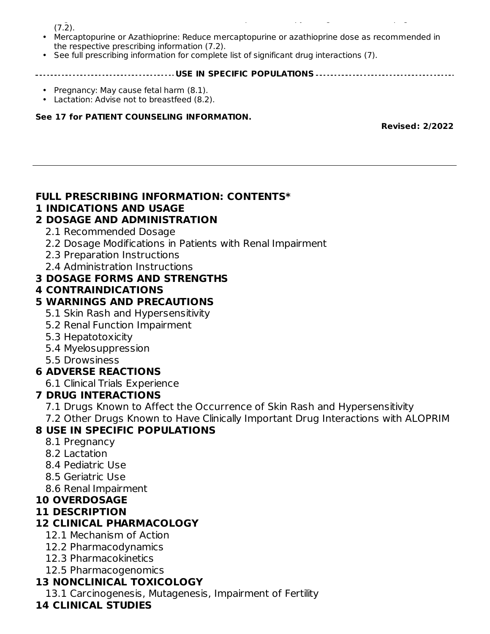Pegloticase: Discontinue and do not institute allopurinol therapy during treatment with pegloticase  $(7.\bar{2})$ .

- Mercaptopurine or Azathioprine: Reduce mercaptopurine or azathioprine dose as recommended in the respective prescribing information (7.2).
- See full prescribing information for complete list of significant drug interactions (7).

#### **USE IN SPECIFIC POPULATIONS**

- Pregnancy: May cause fetal harm (8.1).
- Lactation: Advise not to breastfeed (8.2).

#### **See 17 for PATIENT COUNSELING INFORMATION.**

**Revised: 2/2022**

#### **FULL PRESCRIBING INFORMATION: CONTENTS\***

#### **1 INDICATIONS AND USAGE**

### **2 DOSAGE AND ADMINISTRATION**

- 2.1 Recommended Dosage
- 2.2 Dosage Modifications in Patients with Renal Impairment
- 2.3 Preparation Instructions
- 2.4 Administration Instructions

#### **3 DOSAGE FORMS AND STRENGTHS**

#### **4 CONTRAINDICATIONS**

#### **5 WARNINGS AND PRECAUTIONS**

- 5.1 Skin Rash and Hypersensitivity
- 5.2 Renal Function Impairment
- 5.3 Hepatotoxicity
- 5.4 Myelosuppression
- 5.5 Drowsiness

### **6 ADVERSE REACTIONS**

6.1 Clinical Trials Experience

### **7 DRUG INTERACTIONS**

- 7.1 Drugs Known to Affect the Occurrence of Skin Rash and Hypersensitivity
- 7.2 Other Drugs Known to Have Clinically Important Drug Interactions with ALOPRIM

### **8 USE IN SPECIFIC POPULATIONS**

- 8.1 Pregnancy
- 8.2 Lactation
- 8.4 Pediatric Use
- 8.5 Geriatric Use
- 8.6 Renal Impairment

# **10 OVERDOSAGE**

# **11 DESCRIPTION**

### **12 CLINICAL PHARMACOLOGY**

- 12.1 Mechanism of Action
- 12.2 Pharmacodynamics
- 12.3 Pharmacokinetics
- 12.5 Pharmacogenomics

### **13 NONCLINICAL TOXICOLOGY**

13.1 Carcinogenesis, Mutagenesis, Impairment of Fertility

### **14 CLINICAL STUDIES**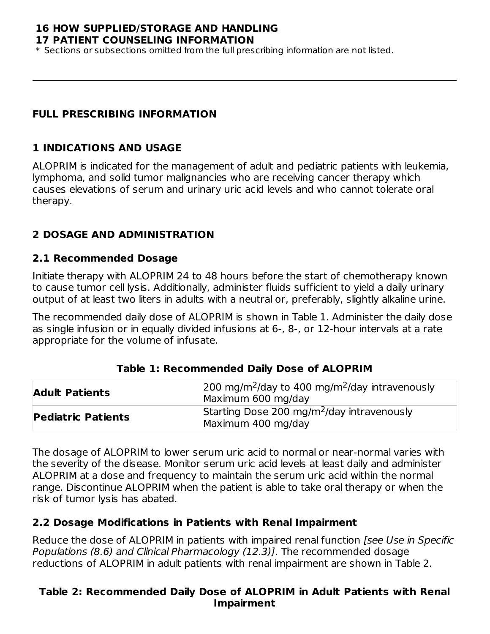#### **16 HOW SUPPLIED/STORAGE AND HANDLING 17 PATIENT COUNSELING INFORMATION**

\* Sections or subsections omitted from the full prescribing information are not listed.

#### **FULL PRESCRIBING INFORMATION**

#### **1 INDICATIONS AND USAGE**

ALOPRIM is indicated for the management of adult and pediatric patients with leukemia, lymphoma, and solid tumor malignancies who are receiving cancer therapy which causes elevations of serum and urinary uric acid levels and who cannot tolerate oral therapy.

### **2 DOSAGE AND ADMINISTRATION**

#### **2.1 Recommended Dosage**

Initiate therapy with ALOPRIM 24 to 48 hours before the start of chemotherapy known to cause tumor cell lysis. Additionally, administer fluids sufficient to yield a daily urinary output of at least two liters in adults with a neutral or, preferably, slightly alkaline urine.

The recommended daily dose of ALOPRIM is shown in Table 1. Administer the daily dose as single infusion or in equally divided infusions at 6-, 8-, or 12-hour intervals at a rate appropriate for the volume of infusate.

| <b>Adult Patients</b>     | $200 \text{ mg/m}^2$ /day to 400 mg/m <sup>2</sup> /day intravenously<br>Maximum 600 mg/day |  |  |
|---------------------------|---------------------------------------------------------------------------------------------|--|--|
| <b>Pediatric Patients</b> | Starting Dose 200 mg/m <sup>2</sup> /day intravenously<br>Maximum 400 mg/day                |  |  |

**Table 1: Recommended Daily Dose of ALOPRIM**

The dosage of ALOPRIM to lower serum uric acid to normal or near-normal varies with the severity of the disease. Monitor serum uric acid levels at least daily and administer ALOPRIM at a dose and frequency to maintain the serum uric acid within the normal range. Discontinue ALOPRIM when the patient is able to take oral therapy or when the risk of tumor lysis has abated.

### **2.2 Dosage Modifications in Patients with Renal Impairment**

Reduce the dose of ALOPRIM in patients with impaired renal function [see Use in Specific Populations (8.6) and Clinical Pharmacology (12.3)]. The recommended dosage reductions of ALOPRIM in adult patients with renal impairment are shown in Table 2.

### **Table 2: Recommended Daily Dose of ALOPRIM in Adult Patients with Renal Impairment**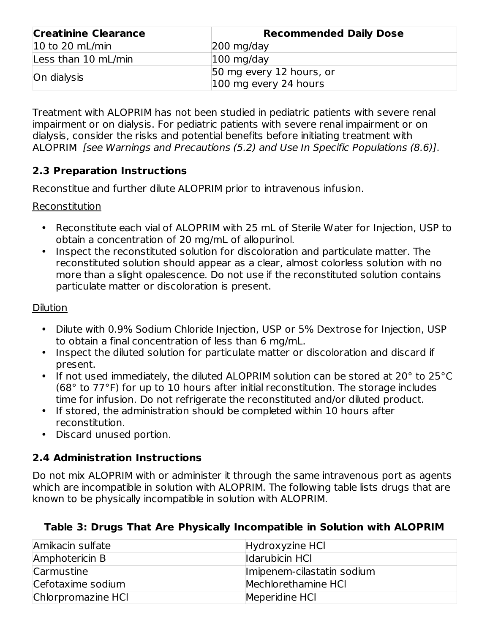| <b>Creatinine Clearance</b>          | <b>Recommended Daily Dose</b>                     |  |  |
|--------------------------------------|---------------------------------------------------|--|--|
| $ 10 \text{ to } 20 \text{ mL/min} $ | $ 200 \text{ mg}/\text{day} $                     |  |  |
| Less than 10 mL/min                  | $100$ mg/day                                      |  |  |
| On dialysis                          | 50 mg every 12 hours, or<br>100 mg every 24 hours |  |  |

Treatment with ALOPRIM has not been studied in pediatric patients with severe renal impairment or on dialysis. For pediatric patients with severe renal impairment or on dialysis, consider the risks and potential benefits before initiating treatment with ALOPRIM [see Warnings and Precautions (5.2) and Use In Specific Populations (8.6)].

## **2.3 Preparation Instructions**

Reconstitue and further dilute ALOPRIM prior to intravenous infusion.

### Reconstitution

- Reconstitute each vial of ALOPRIM with 25 mL of Sterile Water for Injection, USP to obtain a concentration of 20 mg/mL of allopurinol.
- Inspect the reconstituted solution for discoloration and particulate matter. The reconstituted solution should appear as a clear, almost colorless solution with no more than a slight opalescence. Do not use if the reconstituted solution contains particulate matter or discoloration is present.

### Dilution

- Dilute with 0.9% Sodium Chloride Injection, USP or 5% Dextrose for Injection, USP to obtain a final concentration of less than 6 mg/mL.
- Inspect the diluted solution for particulate matter or discoloration and discard if present.
- If not used immediately, the diluted ALOPRIM solution can be stored at 20° to 25°C (68° to 77°F) for up to 10 hours after initial reconstitution. The storage includes time for infusion. Do not refrigerate the reconstituted and/or diluted product.
- If stored, the administration should be completed within 10 hours after reconstitution.
- Discard unused portion.

# **2.4 Administration Instructions**

Do not mix ALOPRIM with or administer it through the same intravenous port as agents which are incompatible in solution with ALOPRIM. The following table lists drugs that are known to be physically incompatible in solution with ALOPRIM.

### **Table 3: Drugs That Are Physically Incompatible in Solution with ALOPRIM**

| Amikacin sulfate   | Hydroxyzine HCl            |
|--------------------|----------------------------|
| Amphotericin B     | Idarubicin HCI             |
| Carmustine         | Imipenem-cilastatin sodium |
| Cefotaxime sodium  | Mechlorethamine HCI        |
| Chlorpromazine HCl | Meperidine HCl             |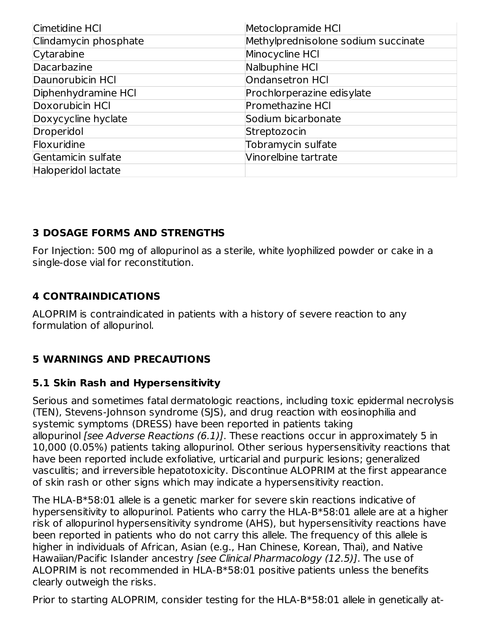| Cimetidine HCI        | Metoclopramide HCI                  |
|-----------------------|-------------------------------------|
| Clindamycin phosphate | Methylprednisolone sodium succinate |
| Cytarabine            | Minocycline HCI                     |
| Dacarbazine           | Nalbuphine HCI                      |
| Daunorubicin HCI      | Ondansetron HCI                     |
| Diphenhydramine HCI   | Prochlorperazine edisylate          |
| Doxorubicin HCI       | <b>Promethazine HCI</b>             |
| Doxycycline hyclate   | Sodium bicarbonate                  |
| Droperidol            | Streptozocin                        |
| Floxuridine           | Tobramycin sulfate                  |
| Gentamicin sulfate    | Vinorelbine tartrate                |
| Haloperidol lactate   |                                     |

## **3 DOSAGE FORMS AND STRENGTHS**

For Injection: 500 mg of allopurinol as a sterile, white lyophilized powder or cake in a single-dose vial for reconstitution.

## **4 CONTRAINDICATIONS**

ALOPRIM is contraindicated in patients with a history of severe reaction to any formulation of allopurinol.

# **5 WARNINGS AND PRECAUTIONS**

### **5.1 Skin Rash and Hypersensitivity**

Serious and sometimes fatal dermatologic reactions, including toxic epidermal necrolysis (TEN), Stevens-Johnson syndrome (SJS), and drug reaction with eosinophilia and systemic symptoms (DRESS) have been reported in patients taking allopurinol [see Adverse Reactions (6.1)]. These reactions occur in approximately 5 in 10,000 (0.05%) patients taking allopurinol. Other serious hypersensitivity reactions that have been reported include exfoliative, urticarial and purpuric lesions; generalized vasculitis; and irreversible hepatotoxicity. Discontinue ALOPRIM at the first appearance of skin rash or other signs which may indicate a hypersensitivity reaction.

The HLA-B\*58:01 allele is a genetic marker for severe skin reactions indicative of hypersensitivity to allopurinol. Patients who carry the HLA-B\*58:01 allele are at a higher risk of allopurinol hypersensitivity syndrome (AHS), but hypersensitivity reactions have been reported in patients who do not carry this allele. The frequency of this allele is higher in individuals of African, Asian (e.g., Han Chinese, Korean, Thai), and Native Hawaiian/Pacific Islander ancestry [see Clinical Pharmacology (12.5)]. The use of ALOPRIM is not recommended in HLA-B\*58:01 positive patients unless the benefits clearly outweigh the risks.

Prior to starting ALOPRIM, consider testing for the HLA-B\*58:01 allele in genetically at-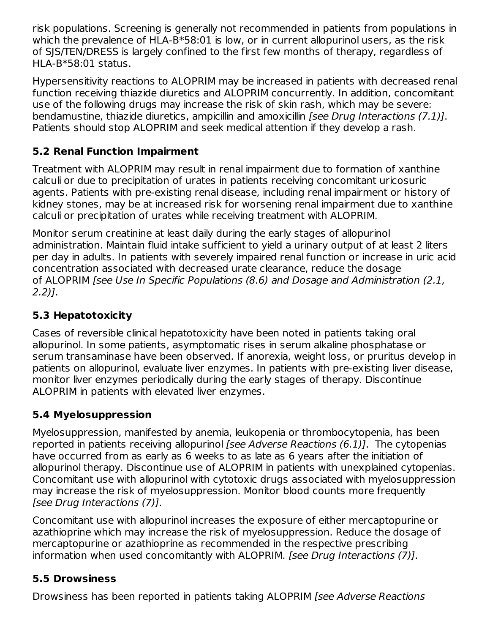risk populations. Screening is generally not recommended in patients from populations in which the prevalence of HLA-B\*58:01 is low, or in current allopurinol users, as the risk of SJS/TEN/DRESS is largely confined to the first few months of therapy, regardless of  $HI A-B*58:01 status.$ 

Hypersensitivity reactions to ALOPRIM may be increased in patients with decreased renal function receiving thiazide diuretics and ALOPRIM concurrently. In addition, concomitant use of the following drugs may increase the risk of skin rash, which may be severe: bendamustine, thiazide diuretics, ampicillin and amoxicillin [see Drug Interactions (7.1)]. Patients should stop ALOPRIM and seek medical attention if they develop a rash.

# **5.2 Renal Function Impairment**

Treatment with ALOPRIM may result in renal impairment due to formation of xanthine calculi or due to precipitation of urates in patients receiving concomitant uricosuric agents. Patients with pre-existing renal disease, including renal impairment or history of kidney stones, may be at increased risk for worsening renal impairment due to xanthine calculi or precipitation of urates while receiving treatment with ALOPRIM.

Monitor serum creatinine at least daily during the early stages of allopurinol administration. Maintain fluid intake sufficient to yield a urinary output of at least 2 liters per day in adults. In patients with severely impaired renal function or increase in uric acid concentration associated with decreased urate clearance, reduce the dosage of ALOPRIM [see Use In Specific Populations (8.6) and Dosage and Administration (2.1, 2.2)].

# **5.3 Hepatotoxicity**

Cases of reversible clinical hepatotoxicity have been noted in patients taking oral allopurinol. In some patients, asymptomatic rises in serum alkaline phosphatase or serum transaminase have been observed. If anorexia, weight loss, or pruritus develop in patients on allopurinol, evaluate liver enzymes. In patients with pre-existing liver disease, monitor liver enzymes periodically during the early stages of therapy. Discontinue ALOPRIM in patients with elevated liver enzymes.

# **5.4 Myelosuppression**

Myelosuppression, manifested by anemia, leukopenia or thrombocytopenia, has been reported in patients receiving allopurinol (see Adverse Reactions (6.1). The cytopenias have occurred from as early as 6 weeks to as late as 6 years after the initiation of allopurinol therapy. Discontinue use of ALOPRIM in patients with unexplained cytopenias. Concomitant use with allopurinol with cytotoxic drugs associated with myelosuppression may increase the risk of myelosuppression. Monitor blood counts more frequently [see Drug Interactions (7)].

Concomitant use with allopurinol increases the exposure of either mercaptopurine or azathioprine which may increase the risk of myelosuppression. Reduce the dosage of mercaptopurine or azathioprine as recommended in the respective prescribing information when used concomitantly with ALOPRIM. [see Drug Interactions (7)].

# **5.5 Drowsiness**

Drowsiness has been reported in patients taking ALOPRIM [see Adverse Reactions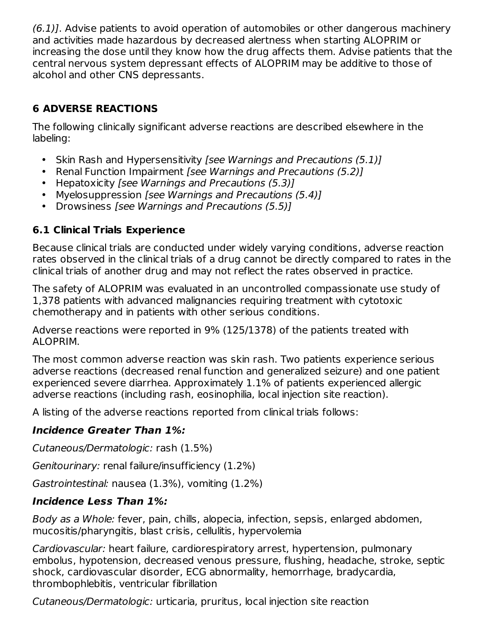$(6.1)$ ]. Advise patients to avoid operation of automobiles or other dangerous machinery and activities made hazardous by decreased alertness when starting ALOPRIM or increasing the dose until they know how the drug affects them. Advise patients that the central nervous system depressant effects of ALOPRIM may be additive to those of alcohol and other CNS depressants.

# **6 ADVERSE REACTIONS**

The following clinically significant adverse reactions are described elsewhere in the labeling:

- Skin Rash and Hypersensitivity *[see Warnings and Precautions (5.1)]*
- Renal Function Impairment [see Warnings and Precautions (5.2)]
- Hepatoxicity [see Warnings and Precautions (5.3)]
- Myelosuppression [see Warnings and Precautions (5.4)]
- Drowsiness [see Warnings and Precautions (5.5)]

# **6.1 Clinical Trials Experience**

Because clinical trials are conducted under widely varying conditions, adverse reaction rates observed in the clinical trials of a drug cannot be directly compared to rates in the clinical trials of another drug and may not reflect the rates observed in practice.

The safety of ALOPRIM was evaluated in an uncontrolled compassionate use study of 1,378 patients with advanced malignancies requiring treatment with cytotoxic chemotherapy and in patients with other serious conditions.

Adverse reactions were reported in 9% (125/1378) of the patients treated with ALOPRIM.

The most common adverse reaction was skin rash. Two patients experience serious adverse reactions (decreased renal function and generalized seizure) and one patient experienced severe diarrhea. Approximately 1.1% of patients experienced allergic adverse reactions (including rash, eosinophilia, local injection site reaction).

A listing of the adverse reactions reported from clinical trials follows:

# **Incidence Greater Than 1%:**

Cutaneous/Dermatologic: rash (1.5%)

Genitourinary: renal failure/insufficiency (1.2%)

Gastrointestinal: nausea (1.3%), vomiting (1.2%)

# **Incidence Less Than 1%:**

Body as a Whole: fever, pain, chills, alopecia, infection, sepsis, enlarged abdomen, mucositis/pharyngitis, blast crisis, cellulitis, hypervolemia

Cardiovascular: heart failure, cardiorespiratory arrest, hypertension, pulmonary embolus, hypotension, decreased venous pressure, flushing, headache, stroke, septic shock, cardiovascular disorder, ECG abnormality, hemorrhage, bradycardia, thrombophlebitis, ventricular fibrillation

Cutaneous/Dermatologic: urticaria, pruritus, local injection site reaction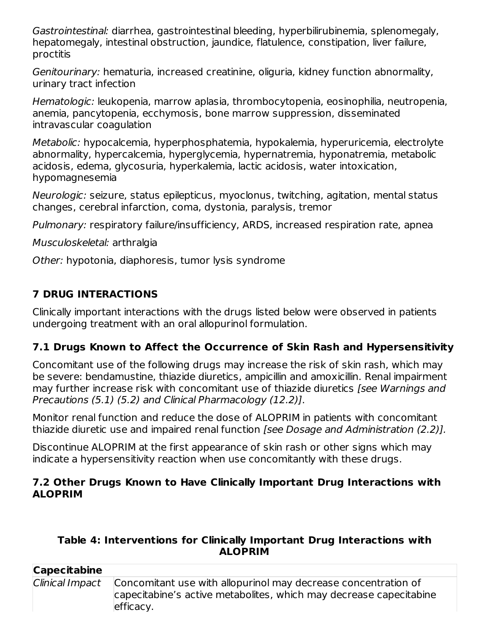Gastrointestinal: diarrhea, gastrointestinal bleeding, hyperbilirubinemia, splenomegaly, hepatomegaly, intestinal obstruction, jaundice, flatulence, constipation, liver failure, proctitis

Genitourinary: hematuria, increased creatinine, oliguria, kidney function abnormality, urinary tract infection

Hematologic: leukopenia, marrow aplasia, thrombocytopenia, eosinophilia, neutropenia, anemia, pancytopenia, ecchymosis, bone marrow suppression, disseminated intravascular coagulation

Metabolic: hypocalcemia, hyperphosphatemia, hypokalemia, hyperuricemia, electrolyte abnormality, hypercalcemia, hyperglycemia, hypernatremia, hyponatremia, metabolic acidosis, edema, glycosuria, hyperkalemia, lactic acidosis, water intoxication, hypomagnesemia

Neurologic: seizure, status epilepticus, myoclonus, twitching, agitation, mental status changes, cerebral infarction, coma, dystonia, paralysis, tremor

Pulmonary: respiratory failure/insufficiency, ARDS, increased respiration rate, apnea

Musculoskeletal: arthralgia

Other: hypotonia, diaphoresis, tumor lysis syndrome

# **7 DRUG INTERACTIONS**

Clinically important interactions with the drugs listed below were observed in patients undergoing treatment with an oral allopurinol formulation.

# **7.1 Drugs Known to Affect the Occurrence of Skin Rash and Hypersensitivity**

Concomitant use of the following drugs may increase the risk of skin rash, which may be severe: bendamustine, thiazide diuretics, ampicillin and amoxicillin. Renal impairment may further increase risk with concomitant use of thiazide diuretics *[see Warnings and* Precautions (5.1) (5.2) and Clinical Pharmacology (12.2)].

Monitor renal function and reduce the dose of ALOPRIM in patients with concomitant thiazide diuretic use and impaired renal function [see Dosage and Administration (2.2)].

Discontinue ALOPRIM at the first appearance of skin rash or other signs which may indicate a hypersensitivity reaction when use concomitantly with these drugs.

### **7.2 Other Drugs Known to Have Clinically Important Drug Interactions with ALOPRIM**

### **Table 4: Interventions for Clinically Important Drug Interactions with ALOPRIM**

| <b>Capecitabine</b> |                                                                                                                                                                   |
|---------------------|-------------------------------------------------------------------------------------------------------------------------------------------------------------------|
|                     | Clinical Impact Concomitant use with allopurinol may decrease concentration of<br>capecitabine's active metabolites, which may decrease capecitabine<br>efficacy. |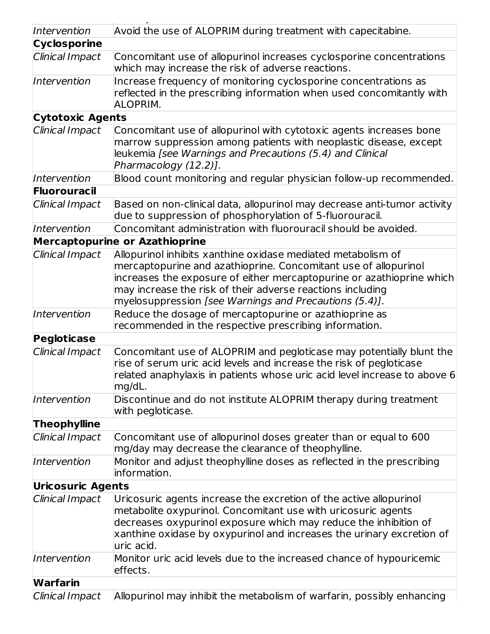| Intervention                                                                                                                     | Avoid the use of ALOPRIM during treatment with capecitabine.                                                                                                                                                                                                                                                                     |  |  |  |
|----------------------------------------------------------------------------------------------------------------------------------|----------------------------------------------------------------------------------------------------------------------------------------------------------------------------------------------------------------------------------------------------------------------------------------------------------------------------------|--|--|--|
| <b>Cyclosporine</b>                                                                                                              |                                                                                                                                                                                                                                                                                                                                  |  |  |  |
| Clinical Impact                                                                                                                  | Concomitant use of allopurinol increases cyclosporine concentrations<br>which may increase the risk of adverse reactions.                                                                                                                                                                                                        |  |  |  |
| Intervention                                                                                                                     | Increase frequency of monitoring cyclosporine concentrations as<br>reflected in the prescribing information when used concomitantly with<br><b>ALOPRIM.</b>                                                                                                                                                                      |  |  |  |
| <b>Cytotoxic Agents</b>                                                                                                          |                                                                                                                                                                                                                                                                                                                                  |  |  |  |
| Clinical Impact                                                                                                                  | Concomitant use of allopurinol with cytotoxic agents increases bone<br>marrow suppression among patients with neoplastic disease, except<br>leukemia [see Warnings and Precautions (5.4) and Clinical<br>Pharmacology (12.2)].                                                                                                   |  |  |  |
| Intervention                                                                                                                     | Blood count monitoring and regular physician follow-up recommended.                                                                                                                                                                                                                                                              |  |  |  |
| <b>Fluorouracil</b>                                                                                                              |                                                                                                                                                                                                                                                                                                                                  |  |  |  |
| Clinical Impact                                                                                                                  | Based on non-clinical data, allopurinol may decrease anti-tumor activity<br>due to suppression of phosphorylation of 5-fluorouracil.                                                                                                                                                                                             |  |  |  |
| Intervention                                                                                                                     | Concomitant administration with fluorouracil should be avoided.                                                                                                                                                                                                                                                                  |  |  |  |
|                                                                                                                                  | <b>Mercaptopurine or Azathioprine</b>                                                                                                                                                                                                                                                                                            |  |  |  |
| Clinical Impact                                                                                                                  | Allopurinol inhibits xanthine oxidase mediated metabolism of<br>mercaptopurine and azathioprine. Concomitant use of allopurinol<br>increases the exposure of either mercaptopurine or azathioprine which<br>may increase the risk of their adverse reactions including<br>myelosuppression [see Warnings and Precautions (5.4)]. |  |  |  |
| Reduce the dosage of mercaptopurine or azathioprine as<br>Intervention<br>recommended in the respective prescribing information. |                                                                                                                                                                                                                                                                                                                                  |  |  |  |
| Pegloticase                                                                                                                      |                                                                                                                                                                                                                                                                                                                                  |  |  |  |
| Clinical Impact                                                                                                                  | Concomitant use of ALOPRIM and pegloticase may potentially blunt the<br>rise of serum uric acid levels and increase the risk of pegloticase<br>related anaphylaxis in patients whose uric acid level increase to above 6<br>mg/dL.                                                                                               |  |  |  |
| Intervention                                                                                                                     | Discontinue and do not institute ALOPRIM therapy during treatment<br>with pegloticase.                                                                                                                                                                                                                                           |  |  |  |
| <b>Theophylline</b>                                                                                                              |                                                                                                                                                                                                                                                                                                                                  |  |  |  |
| Clinical Impact                                                                                                                  | Concomitant use of allopurinol doses greater than or equal to 600<br>mg/day may decrease the clearance of theophylline.                                                                                                                                                                                                          |  |  |  |
| Intervention                                                                                                                     | Monitor and adjust theophylline doses as reflected in the prescribing<br>information.                                                                                                                                                                                                                                            |  |  |  |
| <b>Uricosuric Agents</b>                                                                                                         |                                                                                                                                                                                                                                                                                                                                  |  |  |  |
| Clinical Impact                                                                                                                  | Uricosuric agents increase the excretion of the active allopurinol<br>metabolite oxypurinol. Concomitant use with uricosuric agents<br>decreases oxypurinol exposure which may reduce the inhibition of<br>xanthine oxidase by oxypurinol and increases the urinary excretion of<br>uric acid.                                   |  |  |  |
| Intervention                                                                                                                     | Monitor uric acid levels due to the increased chance of hypouricemic<br>effects.                                                                                                                                                                                                                                                 |  |  |  |
| <b>Warfarin</b>                                                                                                                  |                                                                                                                                                                                                                                                                                                                                  |  |  |  |
| Clinical Impact                                                                                                                  | Allopurinol may inhibit the metabolism of warfarin, possibly enhancing                                                                                                                                                                                                                                                           |  |  |  |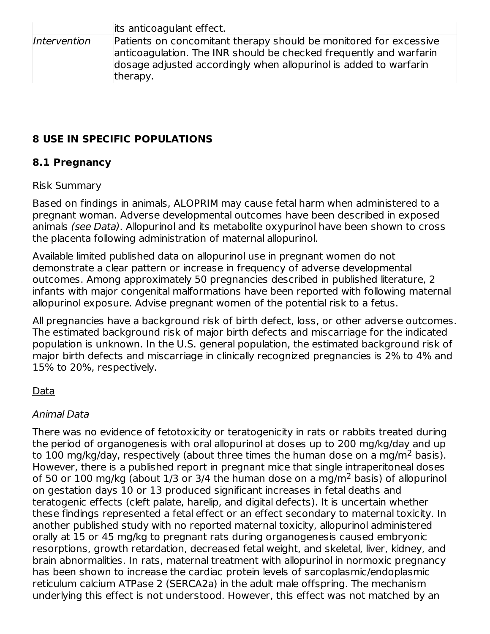|              | its anticoagulant effect.                                                                                                                                                                                                |
|--------------|--------------------------------------------------------------------------------------------------------------------------------------------------------------------------------------------------------------------------|
| Intervention | Patients on concomitant therapy should be monitored for excessive<br>anticoagulation. The INR should be checked frequently and warfarin<br>dosage adjusted accordingly when allopurinol is added to warfarin<br>therapy. |

# **8 USE IN SPECIFIC POPULATIONS**

## **8.1 Pregnancy**

### Risk Summary

Based on findings in animals, ALOPRIM may cause fetal harm when administered to a pregnant woman. Adverse developmental outcomes have been described in exposed animals (see Data). Allopurinol and its metabolite oxypurinol have been shown to cross the placenta following administration of maternal allopurinol.

Available limited published data on allopurinol use in pregnant women do not demonstrate a clear pattern or increase in frequency of adverse developmental outcomes. Among approximately 50 pregnancies described in published literature, 2 infants with major congenital malformations have been reported with following maternal allopurinol exposure. Advise pregnant women of the potential risk to a fetus.

All pregnancies have a background risk of birth defect, loss, or other adverse outcomes. The estimated background risk of major birth defects and miscarriage for the indicated population is unknown. In the U.S. general population, the estimated background risk of major birth defects and miscarriage in clinically recognized pregnancies is 2% to 4% and 15% to 20%, respectively.

### Data

### Animal Data

There was no evidence of fetotoxicity or teratogenicity in rats or rabbits treated during the period of organogenesis with oral allopurinol at doses up to 200 mg/kg/day and up to 100 mg/kg/day, respectively (about three times the human dose on a mg/m<sup>2</sup> basis). However, there is a published report in pregnant mice that single intraperitoneal doses of 50 or 100 mg/kg (about 1/3 or 3/4 the human dose on a mg/m<sup>2</sup> basis) of allopurinol on gestation days 10 or 13 produced significant increases in fetal deaths and teratogenic effects (cleft palate, harelip, and digital defects). It is uncertain whether these findings represented a fetal effect or an effect secondary to maternal toxicity. In another published study with no reported maternal toxicity, allopurinol administered orally at 15 or 45 mg/kg to pregnant rats during organogenesis caused embryonic resorptions, growth retardation, decreased fetal weight, and skeletal, liver, kidney, and brain abnormalities. In rats, maternal treatment with allopurinol in normoxic pregnancy has been shown to increase the cardiac protein levels of sarcoplasmic/endoplasmic reticulum calcium ATPase 2 (SERCA2a) in the adult male offspring. The mechanism underlying this effect is not understood. However, this effect was not matched by an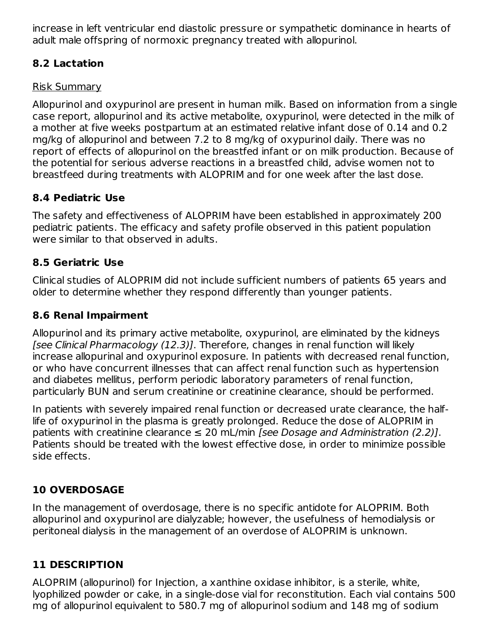increase in left ventricular end diastolic pressure or sympathetic dominance in hearts of adult male offspring of normoxic pregnancy treated with allopurinol.

### **8.2 Lactation**

### Risk Summary

Allopurinol and oxypurinol are present in human milk. Based on information from a single case report, allopurinol and its active metabolite, oxypurinol, were detected in the milk of a mother at five weeks postpartum at an estimated relative infant dose of 0.14 and 0.2 mg/kg of allopurinol and between 7.2 to 8 mg/kg of oxypurinol daily. There was no report of effects of allopurinol on the breastfed infant or on milk production. Because of the potential for serious adverse reactions in a breastfed child, advise women not to breastfeed during treatments with ALOPRIM and for one week after the last dose.

## **8.4 Pediatric Use**

The safety and effectiveness of ALOPRIM have been established in approximately 200 pediatric patients. The efficacy and safety profile observed in this patient population were similar to that observed in adults.

## **8.5 Geriatric Use**

Clinical studies of ALOPRIM did not include sufficient numbers of patients 65 years and older to determine whether they respond differently than younger patients.

## **8.6 Renal Impairment**

Allopurinol and its primary active metabolite, oxypurinol, are eliminated by the kidneys [see Clinical Pharmacology (12.3)]. Therefore, changes in renal function will likely increase allopurinal and oxypurinol exposure. In patients with decreased renal function, or who have concurrent illnesses that can affect renal function such as hypertension and diabetes mellitus, perform periodic laboratory parameters of renal function, particularly BUN and serum creatinine or creatinine clearance, should be performed.

In patients with severely impaired renal function or decreased urate clearance, the halflife of oxypurinol in the plasma is greatly prolonged. Reduce the dose of ALOPRIM in patients with creatinine clearance  $\leq 20$  mL/min *[see Dosage and Administration (2.2)]*. Patients should be treated with the lowest effective dose, in order to minimize possible side effects.

# **10 OVERDOSAGE**

In the management of overdosage, there is no specific antidote for ALOPRIM. Both allopurinol and oxypurinol are dialyzable; however, the usefulness of hemodialysis or peritoneal dialysis in the management of an overdose of ALOPRIM is unknown.

# **11 DESCRIPTION**

ALOPRIM (allopurinol) for Injection, a xanthine oxidase inhibitor, is a sterile, white, lyophilized powder or cake, in a single-dose vial for reconstitution. Each vial contains 500 mg of allopurinol equivalent to 580.7 mg of allopurinol sodium and 148 mg of sodium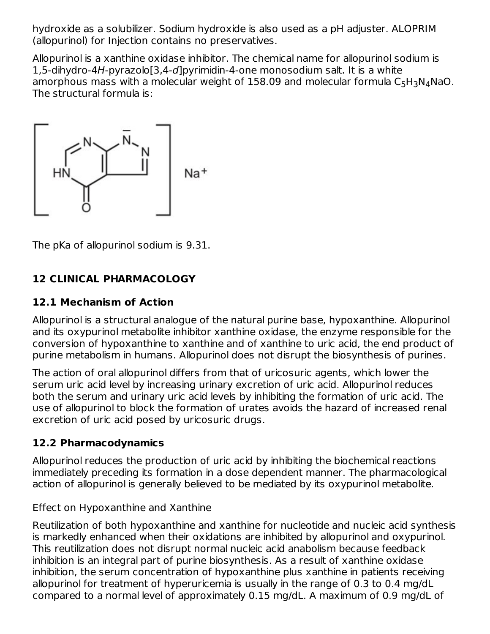hydroxide as a solubilizer. Sodium hydroxide is also used as a pH adjuster. ALOPRIM (allopurinol) for Injection contains no preservatives.

Allopurinol is a xanthine oxidase inhibitor. The chemical name for allopurinol sodium is 1,5-dihydro-4H-pyrazolo[3,4-d]pyrimidin-4-one monosodium salt. It is a white amorphous mass with a molecular weight of  $158.09$  and molecular formula  $\mathsf{C}_5\mathsf{H}_3\mathsf{N}_4\mathsf{N}$ aO. The structural formula is:



The pKa of allopurinol sodium is 9.31.

# **12 CLINICAL PHARMACOLOGY**

## **12.1 Mechanism of Action**

Allopurinol is a structural analogue of the natural purine base, hypoxanthine. Allopurinol and its oxypurinol metabolite inhibitor xanthine oxidase, the enzyme responsible for the conversion of hypoxanthine to xanthine and of xanthine to uric acid, the end product of purine metabolism in humans. Allopurinol does not disrupt the biosynthesis of purines.

The action of oral allopurinol differs from that of uricosuric agents, which lower the serum uric acid level by increasing urinary excretion of uric acid. Allopurinol reduces both the serum and urinary uric acid levels by inhibiting the formation of uric acid. The use of allopurinol to block the formation of urates avoids the hazard of increased renal excretion of uric acid posed by uricosuric drugs.

### **12.2 Pharmacodynamics**

Allopurinol reduces the production of uric acid by inhibiting the biochemical reactions immediately preceding its formation in a dose dependent manner. The pharmacological action of allopurinol is generally believed to be mediated by its oxypurinol metabolite.

### Effect on Hypoxanthine and Xanthine

Reutilization of both hypoxanthine and xanthine for nucleotide and nucleic acid synthesis is markedly enhanced when their oxidations are inhibited by allopurinol and oxypurinol. This reutilization does not disrupt normal nucleic acid anabolism because feedback inhibition is an integral part of purine biosynthesis. As a result of xanthine oxidase inhibition, the serum concentration of hypoxanthine plus xanthine in patients receiving allopurinol for treatment of hyperuricemia is usually in the range of 0.3 to 0.4 mg/dL compared to a normal level of approximately 0.15 mg/dL. A maximum of 0.9 mg/dL of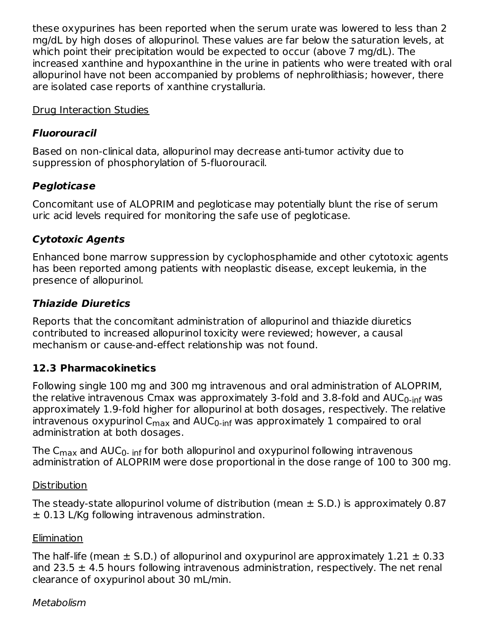these oxypurines has been reported when the serum urate was lowered to less than 2 mg/dL by high doses of allopurinol. These values are far below the saturation levels, at which point their precipitation would be expected to occur (above 7 mg/dL). The increased xanthine and hypoxanthine in the urine in patients who were treated with oral allopurinol have not been accompanied by problems of nephrolithiasis; however, there are isolated case reports of xanthine crystalluria.

### Drug Interaction Studies

### **Fluorouracil**

Based on non-clinical data, allopurinol may decrease anti-tumor activity due to suppression of phosphorylation of 5-fluorouracil.

# **Pegloticase**

Concomitant use of ALOPRIM and pegloticase may potentially blunt the rise of serum uric acid levels required for monitoring the safe use of pegloticase.

## **Cytotoxic Agents**

Enhanced bone marrow suppression by cyclophosphamide and other cytotoxic agents has been reported among patients with neoplastic disease, except leukemia, in the presence of allopurinol.

# **Thiazide Diuretics**

Reports that the concomitant administration of allopurinol and thiazide diuretics contributed to increased allopurinol toxicity were reviewed; however, a causal mechanism or cause-and-effect relationship was not found.

### **12.3 Pharmacokinetics**

Following single 100 mg and 300 mg intravenous and oral administration of ALOPRIM, the relative intravenous Cmax was approximately 3-fold and 3.8-fold and AUC<sub>0-inf</sub> was approximately 1.9-fold higher for allopurinol at both dosages, respectively. The relative intravenous oxypurinol C<sub>max</sub> and AUC<sub>0-inf</sub> was approximately  $1$  compaired to oral administration at both dosages.

The C $_{\sf max}$  and AUC $_{\sf 0\text{-}}$  <sub>inf</sub> for both allopurinol and oxypurinol following intravenous administration of ALOPRIM were dose proportional in the dose range of 100 to 300 mg.

### **Distribution**

The steady-state allopurinol volume of distribution (mean  $\pm$  S.D.) is approximately 0.87  $\pm$  0.13 L/Kg following intravenous adminstration.

### **Elimination**

The half-life (mean  $\pm$  S.D.) of allopurinol and oxypurinol are approximately 1.21  $\pm$  0.33 and 23.5  $\pm$  4.5 hours following intravenous administration, respectively. The net renal clearance of oxypurinol about 30 mL/min.

### Metabolism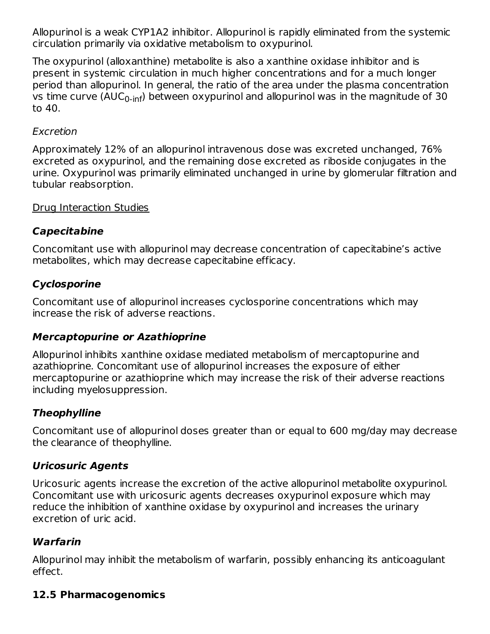Allopurinol is a weak CYP1A2 inhibitor. Allopurinol is rapidly eliminated from the systemic circulation primarily via oxidative metabolism to oxypurinol.

The oxypurinol (alloxanthine) metabolite is also a xanthine oxidase inhibitor and is present in systemic circulation in much higher concentrations and for a much longer period than allopurinol. In general, the ratio of the area under the plasma concentration vs time curve (AUC<sub>0-inf</sub>) between oxypurinol and allopurinol was in the magnitude of 30 to 40.

### Excretion

Approximately 12% of an allopurinol intravenous dose was excreted unchanged, 76% excreted as oxypurinol, and the remaining dose excreted as riboside conjugates in the urine. Oxypurinol was primarily eliminated unchanged in urine by glomerular filtration and tubular reabsorption.

### Drug Interaction Studies

### **Capecitabine**

Concomitant use with allopurinol may decrease concentration of capecitabine's active metabolites, which may decrease capecitabine efficacy.

## **Cyclosporine**

Concomitant use of allopurinol increases cyclosporine concentrations which may increase the risk of adverse reactions.

### **Mercaptopurine or Azathioprine**

Allopurinol inhibits xanthine oxidase mediated metabolism of mercaptopurine and azathioprine. Concomitant use of allopurinol increases the exposure of either mercaptopurine or azathioprine which may increase the risk of their adverse reactions including myelosuppression.

### **Theophylline**

Concomitant use of allopurinol doses greater than or equal to 600 mg/day may decrease the clearance of theophylline.

# **Uricosuric Agents**

Uricosuric agents increase the excretion of the active allopurinol metabolite oxypurinol. Concomitant use with uricosuric agents decreases oxypurinol exposure which may reduce the inhibition of xanthine oxidase by oxypurinol and increases the urinary excretion of uric acid.

### **Warfarin**

Allopurinol may inhibit the metabolism of warfarin, possibly enhancing its anticoagulant effect.

### **12.5 Pharmacogenomics**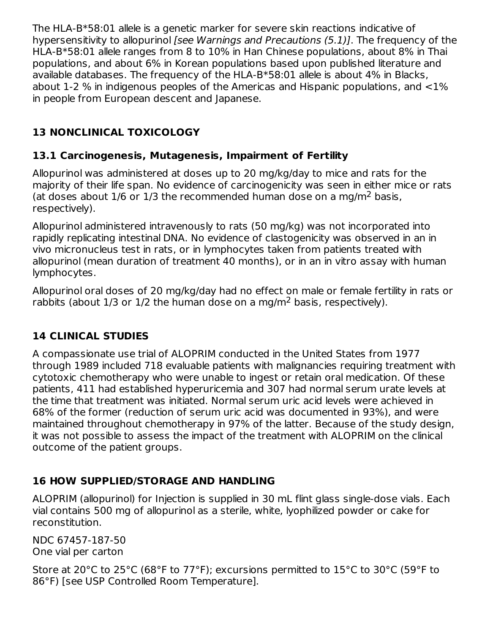The HLA-B\*58:01 allele is a genetic marker for severe skin reactions indicative of hypersensitivity to allopurinol *[see Warnings and Precautions (5.1)]*. The frequency of the HLA-B\*58:01 allele ranges from 8 to 10% in Han Chinese populations, about 8% in Thai populations, and about 6% in Korean populations based upon published literature and available databases. The frequency of the HLA-B\*58:01 allele is about 4% in Blacks, about 1-2 % in indigenous peoples of the Americas and Hispanic populations, and <1% in people from European descent and Japanese.

# **13 NONCLINICAL TOXICOLOGY**

# **13.1 Carcinogenesis, Mutagenesis, Impairment of Fertility**

Allopurinol was administered at doses up to 20 mg/kg/day to mice and rats for the majority of their life span. No evidence of carcinogenicity was seen in either mice or rats (at doses about  $1/6$  or  $1/3$  the recommended human dose on a mg/m<sup>2</sup> basis, respectively).

Allopurinol administered intravenously to rats (50 mg/kg) was not incorporated into rapidly replicating intestinal DNA. No evidence of clastogenicity was observed in an in vivo micronucleus test in rats, or in lymphocytes taken from patients treated with allopurinol (mean duration of treatment 40 months), or in an in vitro assay with human lymphocytes.

Allopurinol oral doses of 20 mg/kg/day had no effect on male or female fertility in rats or rabbits (about  $1/3$  or  $1/2$  the human dose on a mg/m<sup>2</sup> basis, respectively).

# **14 CLINICAL STUDIES**

A compassionate use trial of ALOPRIM conducted in the United States from 1977 through 1989 included 718 evaluable patients with malignancies requiring treatment with cytotoxic chemotherapy who were unable to ingest or retain oral medication. Of these patients, 411 had established hyperuricemia and 307 had normal serum urate levels at the time that treatment was initiated. Normal serum uric acid levels were achieved in 68% of the former (reduction of serum uric acid was documented in 93%), and were maintained throughout chemotherapy in 97% of the latter. Because of the study design, it was not possible to assess the impact of the treatment with ALOPRIM on the clinical outcome of the patient groups.

# **16 HOW SUPPLIED/STORAGE AND HANDLING**

ALOPRIM (allopurinol) for Injection is supplied in 30 mL flint glass single-dose vials. Each vial contains 500 mg of allopurinol as a sterile, white, lyophilized powder or cake for reconstitution.

NDC 67457-187-50 One vial per carton

Store at 20°C to 25°C (68°F to 77°F); excursions permitted to 15°C to 30°C (59°F to 86°F) [see USP Controlled Room Temperature].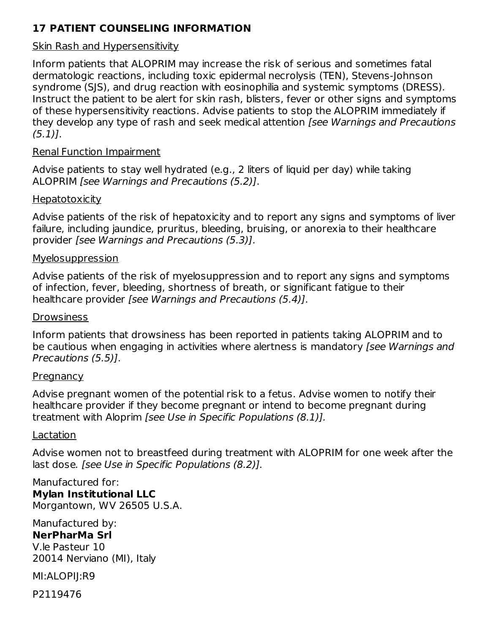## **17 PATIENT COUNSELING INFORMATION**

#### Skin Rash and Hypersensitivity

Inform patients that ALOPRIM may increase the risk of serious and sometimes fatal dermatologic reactions, including toxic epidermal necrolysis (TEN), Stevens-Johnson syndrome (SJS), and drug reaction with eosinophilia and systemic symptoms (DRESS). Instruct the patient to be alert for skin rash, blisters, fever or other signs and symptoms of these hypersensitivity reactions. Advise patients to stop the ALOPRIM immediately if they develop any type of rash and seek medical attention [see Warnings and Precautions  $(5.1)$ .

#### Renal Function Impairment

Advise patients to stay well hydrated (e.g., 2 liters of liquid per day) while taking ALOPRIM [see Warnings and Precautions (5.2)].

#### **Hepatotoxicity**

Advise patients of the risk of hepatoxicity and to report any signs and symptoms of liver failure, including jaundice, pruritus, bleeding, bruising, or anorexia to their healthcare provider [see Warnings and Precautions (5.3)].

#### **Myelosuppression**

Advise patients of the risk of myelosuppression and to report any signs and symptoms of infection, fever, bleeding, shortness of breath, or significant fatigue to their healthcare provider [see Warnings and Precautions (5.4)].

#### **Drowsiness**

Inform patients that drowsiness has been reported in patients taking ALOPRIM and to be cautious when engaging in activities where alertness is mandatory (see Warnings and Precautions (5.5)].

#### **Pregnancy**

Advise pregnant women of the potential risk to a fetus. Advise women to notify their healthcare provider if they become pregnant or intend to become pregnant during treatment with Aloprim [see Use in Specific Populations (8.1)].

#### Lactation

Advise women not to breastfeed during treatment with ALOPRIM for one week after the last dose. [see Use in Specific Populations (8.2)].

Manufactured for: **Mylan Institutional LLC** Morgantown, WV 26505 U.S.A.

#### Manufactured by: **NerPharMa Srl** V.le Pasteur 10

20014 Nerviano (MI), Italy

MI:ALOPIJ:R9

P2119476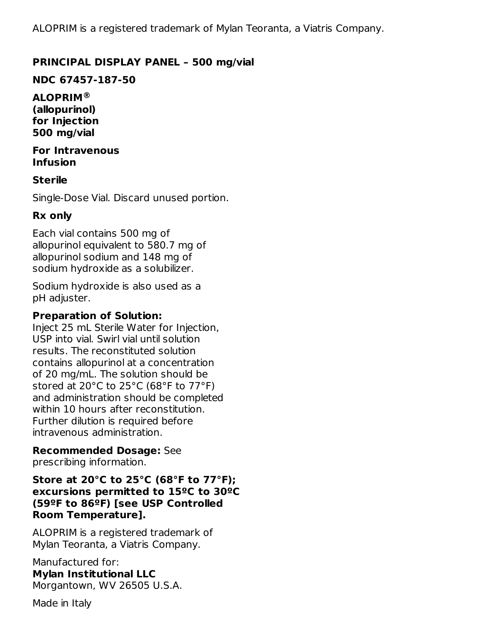ALOPRIM is a registered trademark of Mylan Teoranta, a Viatris Company.

#### **PRINCIPAL DISPLAY PANEL – 500 mg/vial**

**NDC 67457-187-50**

**ALOPRIM ®(allopurinol) for Injection 500 mg/vial**

**For Intravenous Infusion**

#### **Sterile**

Single-Dose Vial. Discard unused portion.

#### **Rx only**

Each vial contains 500 mg of allopurinol equivalent to 580.7 mg of allopurinol sodium and 148 mg of sodium hydroxide as a solubilizer.

Sodium hydroxide is also used as a pH adjuster.

#### **Preparation of Solution:**

Inject 25 mL Sterile Water for Injection, USP into vial. Swirl vial until solution results. The reconstituted solution contains allopurinol at a concentration of 20 mg/mL. The solution should be stored at 20°C to 25°C (68°F to 77°F) and administration should be completed within 10 hours after reconstitution. Further dilution is required before intravenous administration.

#### **Recommended Dosage:** See

prescribing information.

**Store at 20°C to 25°C (68°F to 77°F); excursions permitted to 15ºC to 30ºC (59ºF to 86ºF) [see USP Controlled Room Temperature].**

ALOPRIM is a registered trademark of Mylan Teoranta, a Viatris Company.

Manufactured for: **Mylan Institutional LLC** Morgantown, WV 26505 U.S.A.

Made in Italy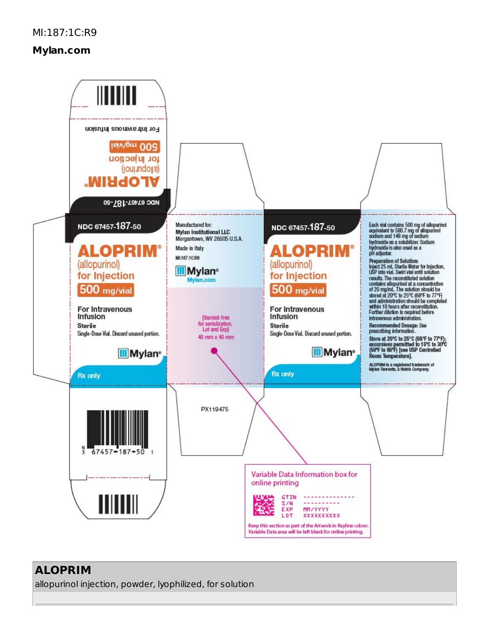# **Mylan.com**



### **ALOPRIM**

allopurinol injection, powder, lyophilized, for solution